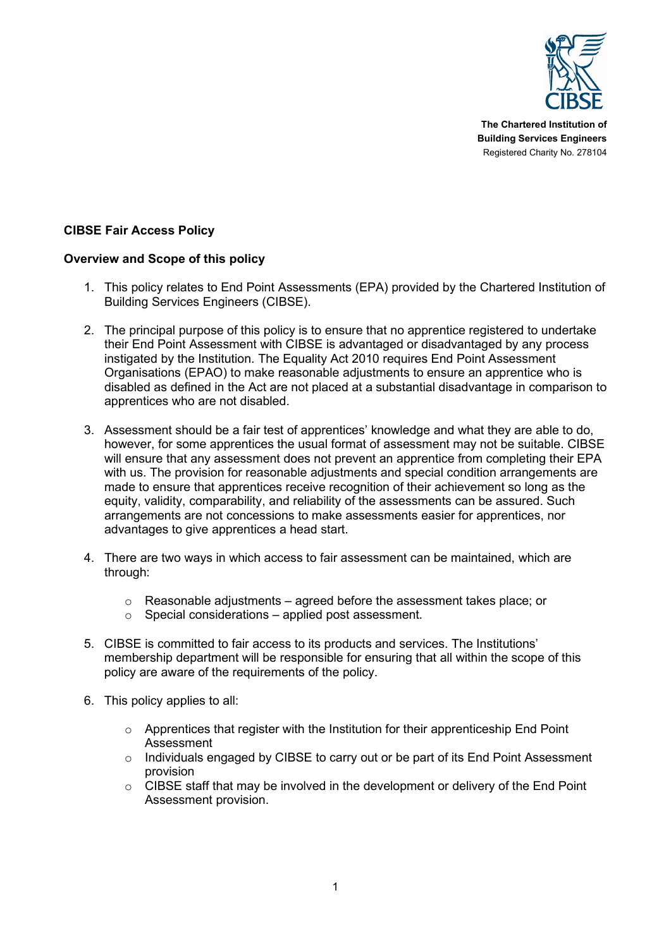

**The Chartered Institution of Building Services Engineers** Registered Charity No. 278104

# **CIBSE Fair Access Policy**

# **Overview and Scope of this policy**

- 1. This policy relates to End Point Assessments (EPA) provided by the Chartered Institution of Building Services Engineers (CIBSE).
- 2. The principal purpose of this policy is to ensure that no apprentice registered to undertake their End Point Assessment with CIBSE is advantaged or disadvantaged by any process instigated by the Institution. The Equality Act 2010 requires End Point Assessment Organisations (EPAO) to make reasonable adjustments to ensure an apprentice who is disabled as defined in the Act are not placed at a substantial disadvantage in comparison to apprentices who are not disabled.
- 3. Assessment should be a fair test of apprentices' knowledge and what they are able to do, however, for some apprentices the usual format of assessment may not be suitable. CIBSE will ensure that any assessment does not prevent an apprentice from completing their EPA with us. The provision for reasonable adjustments and special condition arrangements are made to ensure that apprentices receive recognition of their achievement so long as the equity, validity, comparability, and reliability of the assessments can be assured. Such arrangements are not concessions to make assessments easier for apprentices, nor advantages to give apprentices a head start.
- 4. There are two ways in which access to fair assessment can be maintained, which are through:
	- o Reasonable adjustments agreed before the assessment takes place; or
	- $\circ$  Special considerations applied post assessment.
- 5. CIBSE is committed to fair access to its products and services. The Institutions' membership department will be responsible for ensuring that all within the scope of this policy are aware of the requirements of the policy.
- 6. This policy applies to all:
	- $\circ$  Apprentices that register with the Institution for their apprenticeship End Point Assessment
	- o Individuals engaged by CIBSE to carry out or be part of its End Point Assessment provision
	- $\circ$  CIBSE staff that may be involved in the development or delivery of the End Point Assessment provision.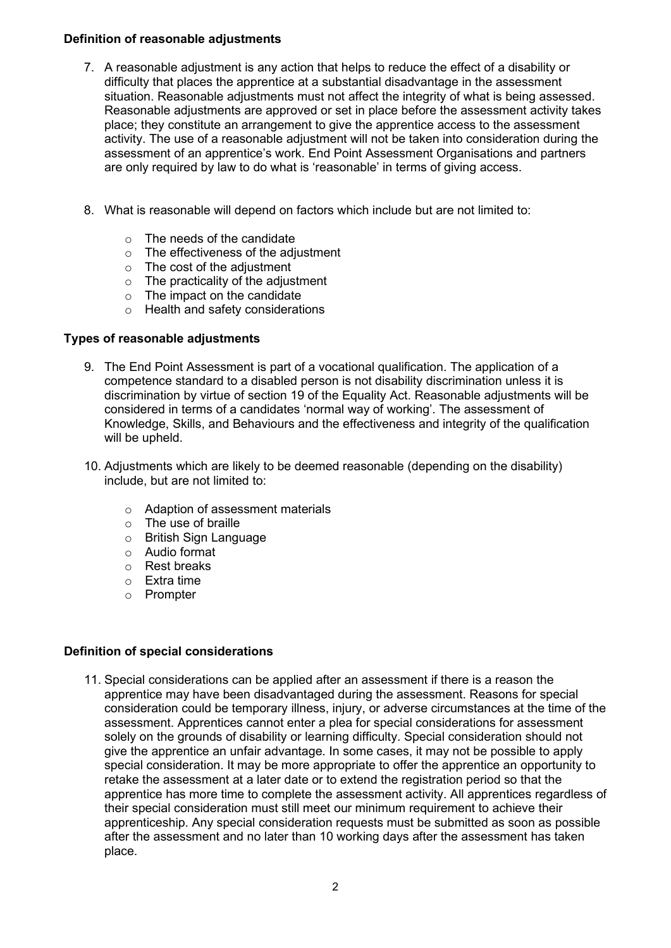# **Definition of reasonable adjustments**

- 7. A reasonable adjustment is any action that helps to reduce the effect of a disability or difficulty that places the apprentice at a substantial disadvantage in the assessment situation. Reasonable adjustments must not affect the integrity of what is being assessed. Reasonable adjustments are approved or set in place before the assessment activity takes place; they constitute an arrangement to give the apprentice access to the assessment activity. The use of a reasonable adjustment will not be taken into consideration during the assessment of an apprentice's work. End Point Assessment Organisations and partners are only required by law to do what is 'reasonable' in terms of giving access.
- 8. What is reasonable will depend on factors which include but are not limited to:
	- o The needs of the candidate
	- o The effectiveness of the adjustment
	- o The cost of the adjustment
	- $\circ$  The practicality of the adjustment
	- $\circ$  The impact on the candidate
	- o Health and safety considerations

# **Types of reasonable adjustments**

- 9. The End Point Assessment is part of a vocational qualification. The application of a competence standard to a disabled person is not disability discrimination unless it is discrimination by virtue of section 19 of the Equality Act. Reasonable adjustments will be considered in terms of a candidates 'normal way of working'. The assessment of Knowledge, Skills, and Behaviours and the effectiveness and integrity of the qualification will be upheld.
- 10. Adjustments which are likely to be deemed reasonable (depending on the disability) include, but are not limited to:
	- o Adaption of assessment materials
	- o The use of braille
	- o British Sign Language
	- o Audio format
	- o Rest breaks
	- o Extra time
	- o Prompter

## **Definition of special considerations**

11. Special considerations can be applied after an assessment if there is a reason the apprentice may have been disadvantaged during the assessment. Reasons for special consideration could be temporary illness, injury, or adverse circumstances at the time of the assessment. Apprentices cannot enter a plea for special considerations for assessment solely on the grounds of disability or learning difficulty. Special consideration should not give the apprentice an unfair advantage. In some cases, it may not be possible to apply special consideration. It may be more appropriate to offer the apprentice an opportunity to retake the assessment at a later date or to extend the registration period so that the apprentice has more time to complete the assessment activity. All apprentices regardless of their special consideration must still meet our minimum requirement to achieve their apprenticeship. Any special consideration requests must be submitted as soon as possible after the assessment and no later than 10 working days after the assessment has taken place.